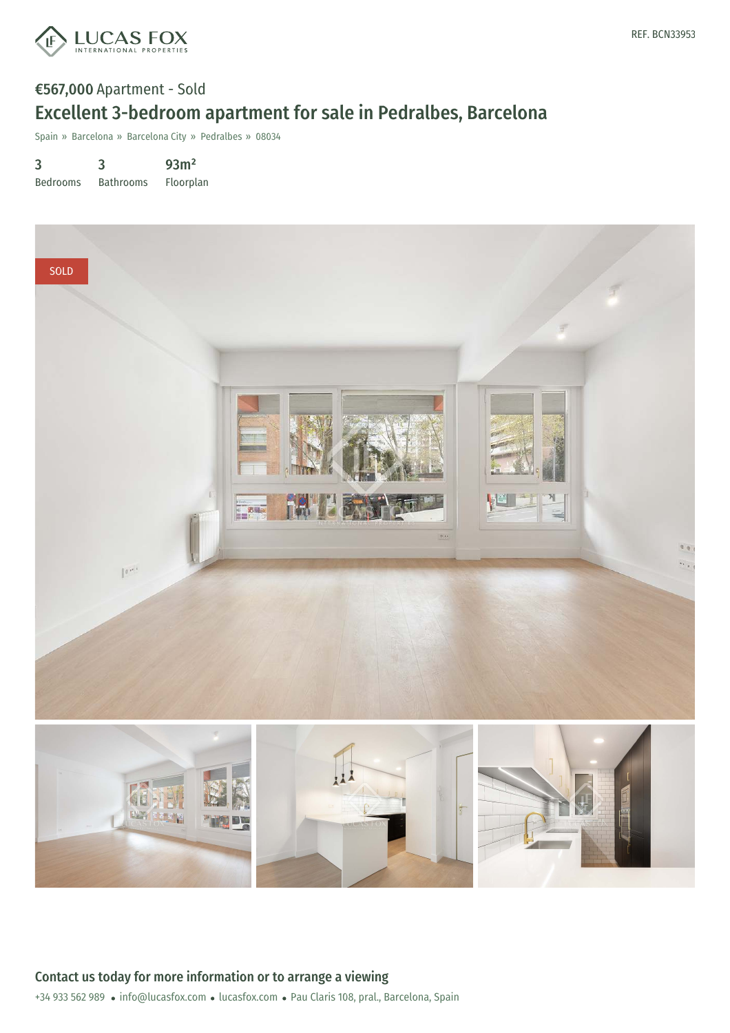

## €567,000 Apartment - Sold Excellent 3-bedroom apartment for sale in Pedralbes, Barcelona

Spain » Barcelona » Barcelona City » Pedralbes » 08034

3 Bedrooms 3 Bathrooms 93m² Floorplan

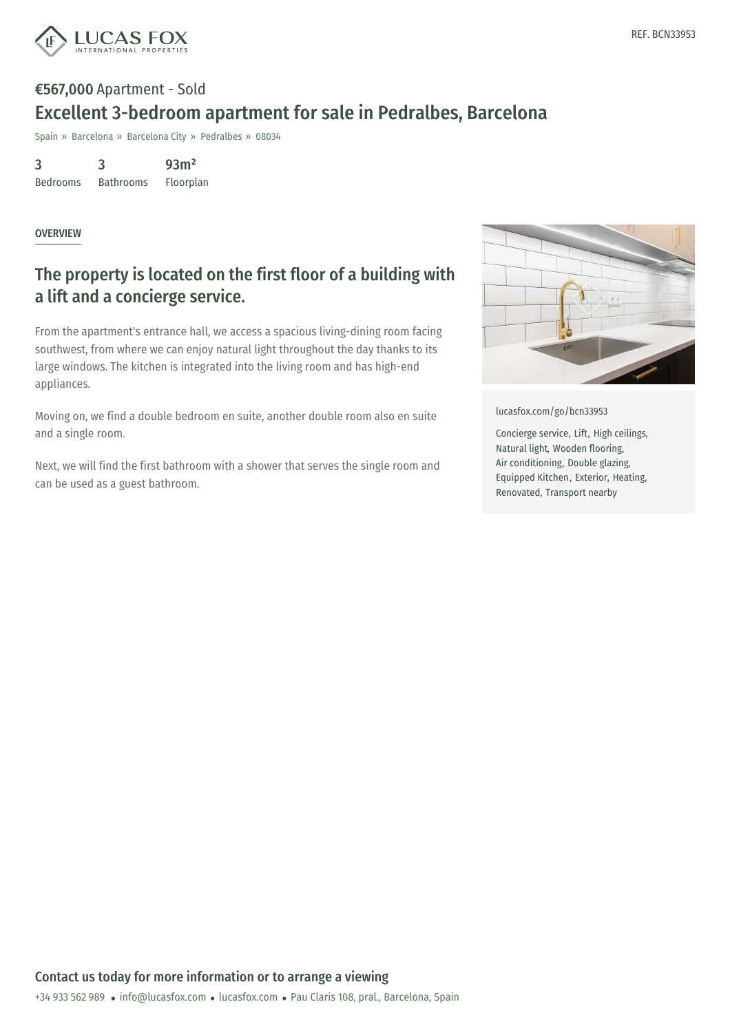

# €567,000 Apartment - Sold Excellent 3-bedroom apartment for sale in Pedralbes, Barcelona

Spain » Barcelona » Barcelona City » Pedralbes » 08034

3 Bedrooms 3 Bathrooms 93m² Floorplan

#### **OVERVIEW**

### The property is located on the first floor of a building with a lift and a concierge service.

From the apartment's entrance hall, we access a spacious living-dining room facing southwest, from where we can enjoy natural light throughout the day thanks to its large windows. The kitchen is integrated into the living room and has high-end appliances.

Moving on, we find a double bedroom en suite, another double room also en suite and a single room.

Next, we will find the first bathroom with a shower that serves the single room and can be used as a guest bathroom.



[lucasfox.com/go/bcn33953](https://www.lucasfox.com/go/bcn33953)

Concierge service, Lift, High ceilings, Natural light, Wooden flooring, Air conditioning, Double glazing, Equipped Kitchen, Exterior, Heating, Renovated, Transport nearby